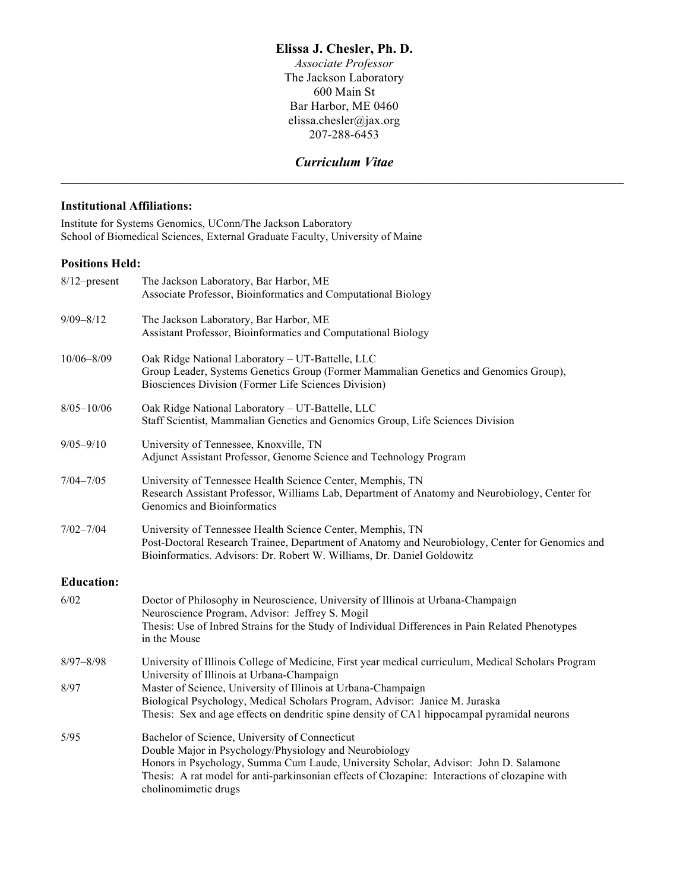## **Elissa J. Chesler, Ph. D.**

*Associate Professor* The Jackson Laboratory 600 Main St Bar Harbor, ME 0460 elissa.chesler@jax.org 207-288-6453

## *Curriculum Vitae* **\_\_\_\_\_\_\_\_\_\_\_\_\_\_\_\_\_\_\_\_\_\_\_\_\_\_\_\_\_\_\_\_\_\_\_\_\_\_\_\_\_\_\_\_\_\_\_\_\_\_\_\_\_\_\_\_\_\_\_\_\_\_\_\_\_\_\_\_\_\_\_\_\_\_\_\_\_\_\_\_\_\_\_\_\_\_\_\_\_\_\_**

## **Institutional Affiliations:**

Institute for Systems Genomics, UConn/The Jackson Laboratory School of Biomedical Sciences, External Graduate Faculty, University of Maine

## **Positions Held:**

| $8/12$ -present   | The Jackson Laboratory, Bar Harbor, ME<br>Associate Professor, Bioinformatics and Computational Biology                                                                                                                                                                                                                    |
|-------------------|----------------------------------------------------------------------------------------------------------------------------------------------------------------------------------------------------------------------------------------------------------------------------------------------------------------------------|
| $9/09 - 8/12$     | The Jackson Laboratory, Bar Harbor, ME<br>Assistant Professor, Bioinformatics and Computational Biology                                                                                                                                                                                                                    |
| $10/06 - 8/09$    | Oak Ridge National Laboratory - UT-Battelle, LLC<br>Group Leader, Systems Genetics Group (Former Mammalian Genetics and Genomics Group),<br>Biosciences Division (Former Life Sciences Division)                                                                                                                           |
| $8/05 - 10/06$    | Oak Ridge National Laboratory - UT-Battelle, LLC<br>Staff Scientist, Mammalian Genetics and Genomics Group, Life Sciences Division                                                                                                                                                                                         |
| $9/05 - 9/10$     | University of Tennessee, Knoxville, TN<br>Adjunct Assistant Professor, Genome Science and Technology Program                                                                                                                                                                                                               |
| $7/04 - 7/05$     | University of Tennessee Health Science Center, Memphis, TN<br>Research Assistant Professor, Williams Lab, Department of Anatomy and Neurobiology, Center for<br>Genomics and Bioinformatics                                                                                                                                |
| $7/02 - 7/04$     | University of Tennessee Health Science Center, Memphis, TN<br>Post-Doctoral Research Trainee, Department of Anatomy and Neurobiology, Center for Genomics and<br>Bioinformatics. Advisors: Dr. Robert W. Williams, Dr. Daniel Goldowitz                                                                                    |
| <b>Education:</b> |                                                                                                                                                                                                                                                                                                                            |
| 6/02              | Doctor of Philosophy in Neuroscience, University of Illinois at Urbana-Champaign<br>Neuroscience Program, Advisor: Jeffrey S. Mogil<br>Thesis: Use of Inbred Strains for the Study of Individual Differences in Pain Related Phenotypes<br>in the Mouse                                                                    |
| $8/97 - 8/98$     | University of Illinois College of Medicine, First year medical curriculum, Medical Scholars Program<br>University of Illinois at Urbana-Champaign                                                                                                                                                                          |
| 8/97              | Master of Science, University of Illinois at Urbana-Champaign<br>Biological Psychology, Medical Scholars Program, Advisor: Janice M. Juraska<br>Thesis: Sex and age effects on dendritic spine density of CA1 hippocampal pyramidal neurons                                                                                |
| 5/95              | Bachelor of Science, University of Connecticut<br>Double Major in Psychology/Physiology and Neurobiology<br>Honors in Psychology, Summa Cum Laude, University Scholar, Advisor: John D. Salamone<br>Thesis: A rat model for anti-parkinsonian effects of Clozapine: Interactions of clozapine with<br>cholinomimetic drugs |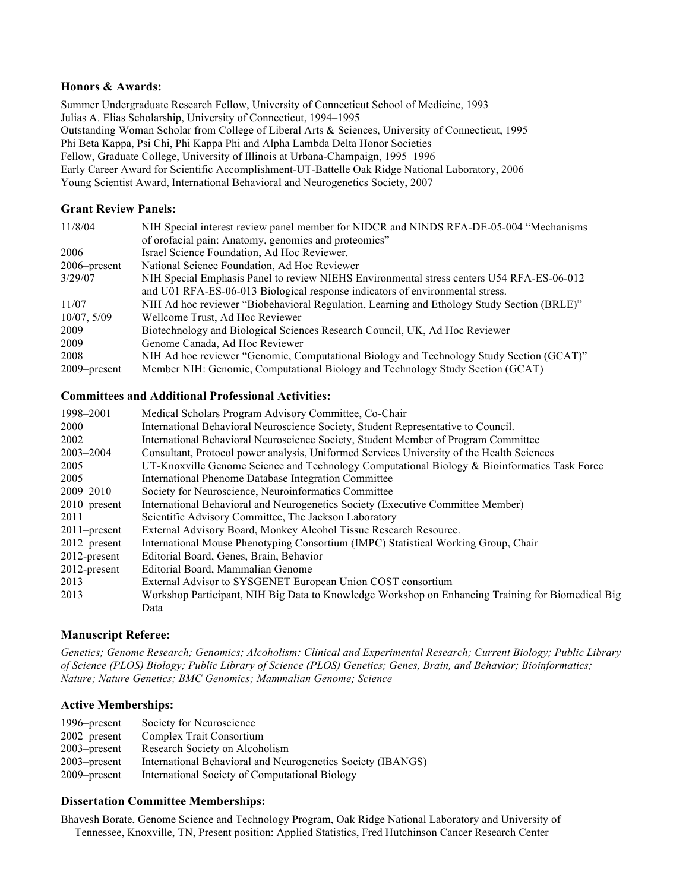## **Honors & Awards:**

Summer Undergraduate Research Fellow, University of Connecticut School of Medicine, 1993 Julias A. Elias Scholarship, University of Connecticut, 1994–1995 Outstanding Woman Scholar from College of Liberal Arts & Sciences, University of Connecticut, 1995 Phi Beta Kappa, Psi Chi, Phi Kappa Phi and Alpha Lambda Delta Honor Societies Fellow, Graduate College, University of Illinois at Urbana-Champaign, 1995–1996 Early Career Award for Scientific Accomplishment-UT-Battelle Oak Ridge National Laboratory, 2006 Young Scientist Award, International Behavioral and Neurogenetics Society, 2007

## **Grant Review Panels:**

| 11/8/04         | NIH Special interest review panel member for NIDCR and NINDS RFA-DE-05-004 "Mechanisms"    |
|-----------------|--------------------------------------------------------------------------------------------|
|                 | of orofacial pain: Anatomy, genomics and proteomics"                                       |
| 2006            | Israel Science Foundation, Ad Hoc Reviewer.                                                |
| $2006$ -present | National Science Foundation, Ad Hoc Reviewer                                               |
| 3/29/07         | NIH Special Emphasis Panel to review NIEHS Environmental stress centers U54 RFA-ES-06-012  |
|                 | and U01 RFA-ES-06-013 Biological response indicators of environmental stress.              |
| 11/07           | NIH Ad hoc reviewer "Biobehavioral Regulation, Learning and Ethology Study Section (BRLE)" |
| 10/07, 5/09     | Wellcome Trust, Ad Hoc Reviewer                                                            |
| 2009            | Biotechnology and Biological Sciences Research Council, UK, Ad Hoc Reviewer                |
| 2009            | Genome Canada, Ad Hoc Reviewer                                                             |
| 2008            | NIH Ad hoc reviewer "Genomic, Computational Biology and Technology Study Section (GCAT)"   |
| $2009$ -present | Member NIH: Genomic, Computational Biology and Technology Study Section (GCAT)             |

## **Committees and Additional Professional Activities:**

| 1998-2001       | Medical Scholars Program Advisory Committee, Co-Chair                                             |
|-----------------|---------------------------------------------------------------------------------------------------|
| 2000            | International Behavioral Neuroscience Society, Student Representative to Council.                 |
| 2002            | International Behavioral Neuroscience Society, Student Member of Program Committee                |
| 2003-2004       | Consultant, Protocol power analysis, Uniformed Services University of the Health Sciences         |
| 2005            | UT-Knoxville Genome Science and Technology Computational Biology & Bioinformatics Task Force      |
| 2005            | International Phenome Database Integration Committee                                              |
| 2009-2010       | Society for Neuroscience, Neuroinformatics Committee                                              |
| $2010$ -present | International Behavioral and Neurogenetics Society (Executive Committee Member)                   |
| 2011            | Scientific Advisory Committee, The Jackson Laboratory                                             |
| $2011$ -present | External Advisory Board, Monkey Alcohol Tissue Research Resource.                                 |
| $2012$ -present | International Mouse Phenotyping Consortium (IMPC) Statistical Working Group, Chair                |
| 2012-present    | Editorial Board, Genes, Brain, Behavior                                                           |
| 2012-present    | Editorial Board, Mammalian Genome                                                                 |
| 2013            | External Advisor to SYSGENET European Union COST consortium                                       |
| 2013            | Workshop Participant, NIH Big Data to Knowledge Workshop on Enhancing Training for Biomedical Big |
|                 | Data                                                                                              |

### **Manuscript Referee:**

*Genetics; Genome Research; Genomics; Alcoholism: Clinical and Experimental Research; Current Biology; Public Library of Science (PLOS) Biology; Public Library of Science (PLOS) Genetics; Genes, Brain, and Behavior; Bioinformatics; Nature; Nature Genetics; BMC Genomics; Mammalian Genome; Science*

### **Active Memberships:**

| 1996–present    | Society for Neuroscience                                    |
|-----------------|-------------------------------------------------------------|
| $2002$ -present | Complex Trait Consortium                                    |
| $2003$ -present | Research Society on Alcoholism                              |
| $2003$ -present | International Behavioral and Neurogenetics Society (IBANGS) |
| 2009–present    | International Society of Computational Biology              |

### **Dissertation Committee Memberships:**

Bhavesh Borate, Genome Science and Technology Program, Oak Ridge National Laboratory and University of Tennessee, Knoxville, TN, Present position: Applied Statistics, Fred Hutchinson Cancer Research Center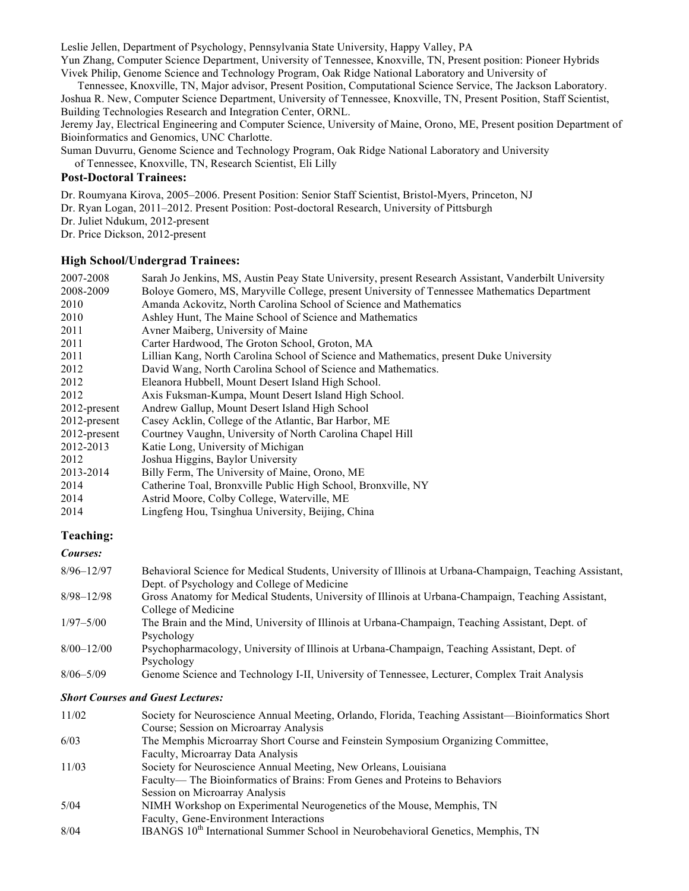Leslie Jellen, Department of Psychology, Pennsylvania State University, Happy Valley, PA Yun Zhang, Computer Science Department, University of Tennessee, Knoxville, TN, Present position: Pioneer Hybrids Vivek Philip, Genome Science and Technology Program, Oak Ridge National Laboratory and University of

 Tennessee, Knoxville, TN, Major advisor, Present Position, Computational Science Service, The Jackson Laboratory. Joshua R. New, Computer Science Department, University of Tennessee, Knoxville, TN, Present Position, Staff Scientist, Building Technologies Research and Integration Center, ORNL.

Jeremy Jay, Electrical Engineering and Computer Science, University of Maine, Orono, ME, Present position Department of Bioinformatics and Genomics, UNC Charlotte.

Suman Duvurru, Genome Science and Technology Program, Oak Ridge National Laboratory and University of Tennessee, Knoxville, TN, Research Scientist, Eli Lilly

### **Post-Doctoral Trainees:**

Dr. Roumyana Kirova, 2005–2006. Present Position: Senior Staff Scientist, Bristol-Myers, Princeton, NJ

Dr. Ryan Logan, 2011–2012. Present Position: Post-doctoral Research, University of Pittsburgh

- Dr. Juliet Ndukum, 2012-present
- Dr. Price Dickson, 2012-present

#### **High School/Undergrad Trainees:**

| 2007-2008       | Sarah Jo Jenkins, MS, Austin Peay State University, present Research Assistant, Vanderbilt University |
|-----------------|-------------------------------------------------------------------------------------------------------|
| 2008-2009       | Boloye Gomero, MS, Maryville College, present University of Tennessee Mathematics Department          |
| 2010            | Amanda Ackovitz, North Carolina School of Science and Mathematics                                     |
| 2010            | Ashley Hunt, The Maine School of Science and Mathematics                                              |
| 2011            | Avner Maiberg, University of Maine                                                                    |
| 2011            | Carter Hardwood, The Groton School, Groton, MA                                                        |
| 2011            | Lillian Kang, North Carolina School of Science and Mathematics, present Duke University               |
| 2012            | David Wang, North Carolina School of Science and Mathematics.                                         |
| 2012            | Eleanora Hubbell, Mount Desert Island High School.                                                    |
| 2012            | Axis Fuksman-Kumpa, Mount Desert Island High School.                                                  |
| $2012$ -present | Andrew Gallup, Mount Desert Island High School                                                        |
| $2012$ -present | Casey Acklin, College of the Atlantic, Bar Harbor, ME                                                 |
| $2012$ -present | Courtney Vaughn, University of North Carolina Chapel Hill                                             |
| 2012-2013       | Katie Long, University of Michigan                                                                    |
| 2012            | Joshua Higgins, Baylor University                                                                     |
| 2013-2014       | Billy Ferm, The University of Maine, Orono, ME                                                        |
| 2014            | Catherine Toal, Bronxville Public High School, Bronxville, NY                                         |
| 2014            | Astrid Moore, Colby College, Waterville, ME                                                           |
| 2014            | Lingfeng Hou, Tsinghua University, Beijing, China                                                     |
| Teaching:       |                                                                                                       |

# *Courses:*

| ourses. |              |  |
|---------|--------------|--|
|         | $107 - 1207$ |  |

| $8/96 - 12/97$ | Behavioral Science for Medical Students, University of Illinois at Urbana-Champaign, Teaching Assistant, |
|----------------|----------------------------------------------------------------------------------------------------------|
|                | Dept. of Psychology and College of Medicine                                                              |
| $8/98 - 12/98$ | Gross Anatomy for Medical Students, University of Illinois at Urbana-Champaign, Teaching Assistant,      |
|                | College of Medicine                                                                                      |
| $1/97 - 5/00$  | The Brain and the Mind, University of Illinois at Urbana-Champaign, Teaching Assistant, Dept. of         |
|                | Psychology                                                                                               |
| $8/00 - 12/00$ | Psychopharmacology, University of Illinois at Urbana-Champaign, Teaching Assistant, Dept. of             |
|                | Psychology                                                                                               |
| $8/06 - 5/09$  | Genome Science and Technology I-II, University of Tennessee, Lecturer, Complex Trait Analysis            |

#### *Short Courses and Guest Lectures:*

| 11/02 | Society for Neuroscience Annual Meeting, Orlando, Florida, Teaching Assistant—Bioinformatics Short |
|-------|----------------------------------------------------------------------------------------------------|
|       | Course; Session on Microarray Analysis                                                             |
| 6/03  | The Memphis Microarray Short Course and Feinstein Symposium Organizing Committee,                  |
|       | Faculty, Microarray Data Analysis                                                                  |
| 11/03 | Society for Neuroscience Annual Meeting, New Orleans, Louisiana                                    |
|       | Faculty— The Bioinformatics of Brains: From Genes and Proteins to Behaviors                        |
|       | Session on Microarray Analysis                                                                     |
| 5/04  | NIMH Workshop on Experimental Neurogenetics of the Mouse, Memphis, TN                              |
|       | Faculty, Gene-Environment Interactions                                                             |
| 8/04  | IBANGS 10 <sup>th</sup> International Summer School in Neurobehavioral Genetics, Memphis, TN       |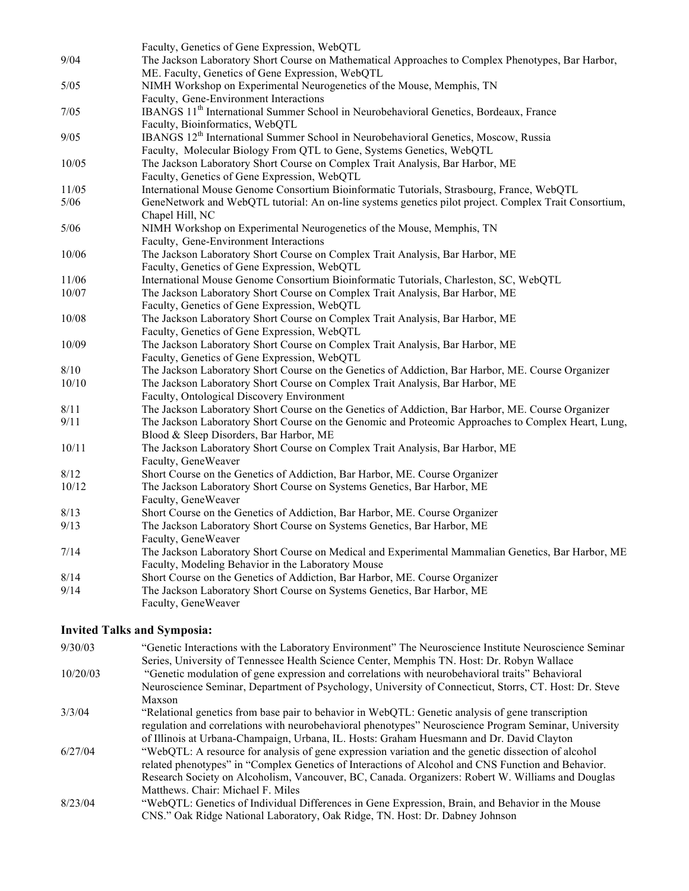|       | Faculty, Genetics of Gene Expression, WebQTL                                                          |
|-------|-------------------------------------------------------------------------------------------------------|
| 9/04  | The Jackson Laboratory Short Course on Mathematical Approaches to Complex Phenotypes, Bar Harbor,     |
|       | ME. Faculty, Genetics of Gene Expression, WebQTL                                                      |
| 5/05  | NIMH Workshop on Experimental Neurogenetics of the Mouse, Memphis, TN                                 |
|       | Faculty, Gene-Environment Interactions                                                                |
| 7/05  | IBANGS 11 <sup>th</sup> International Summer School in Neurobehavioral Genetics, Bordeaux, France     |
|       | Faculty, Bioinformatics, WebQTL                                                                       |
| 9/05  | IBANGS 12 <sup>th</sup> International Summer School in Neurobehavioral Genetics, Moscow, Russia       |
|       | Faculty, Molecular Biology From QTL to Gene, Systems Genetics, WebQTL                                 |
| 10/05 | The Jackson Laboratory Short Course on Complex Trait Analysis, Bar Harbor, ME                         |
|       | Faculty, Genetics of Gene Expression, WebQTL                                                          |
| 11/05 | International Mouse Genome Consortium Bioinformatic Tutorials, Strasbourg, France, WebQTL             |
| 5/06  | GeneNetwork and WebQTL tutorial: An on-line systems genetics pilot project. Complex Trait Consortium, |
|       | Chapel Hill, NC                                                                                       |
| 5/06  | NIMH Workshop on Experimental Neurogenetics of the Mouse, Memphis, TN                                 |
|       | Faculty, Gene-Environment Interactions                                                                |
| 10/06 | The Jackson Laboratory Short Course on Complex Trait Analysis, Bar Harbor, ME                         |
|       | Faculty, Genetics of Gene Expression, WebQTL                                                          |
| 11/06 | International Mouse Genome Consortium Bioinformatic Tutorials, Charleston, SC, WebQTL                 |
| 10/07 | The Jackson Laboratory Short Course on Complex Trait Analysis, Bar Harbor, ME                         |
|       | Faculty, Genetics of Gene Expression, WebQTL                                                          |
| 10/08 | The Jackson Laboratory Short Course on Complex Trait Analysis, Bar Harbor, ME                         |
|       | Faculty, Genetics of Gene Expression, WebQTL                                                          |
| 10/09 | The Jackson Laboratory Short Course on Complex Trait Analysis, Bar Harbor, ME                         |
|       | Faculty, Genetics of Gene Expression, WebQTL                                                          |
| 8/10  | The Jackson Laboratory Short Course on the Genetics of Addiction, Bar Harbor, ME. Course Organizer    |
| 10/10 | The Jackson Laboratory Short Course on Complex Trait Analysis, Bar Harbor, ME                         |
|       | Faculty, Ontological Discovery Environment                                                            |
| 8/11  | The Jackson Laboratory Short Course on the Genetics of Addiction, Bar Harbor, ME. Course Organizer    |
| 9/11  | The Jackson Laboratory Short Course on the Genomic and Proteomic Approaches to Complex Heart, Lung,   |
|       | Blood & Sleep Disorders, Bar Harbor, ME                                                               |
| 10/11 | The Jackson Laboratory Short Course on Complex Trait Analysis, Bar Harbor, ME                         |
|       | Faculty, GeneWeaver                                                                                   |
| 8/12  | Short Course on the Genetics of Addiction, Bar Harbor, ME. Course Organizer                           |
| 10/12 | The Jackson Laboratory Short Course on Systems Genetics, Bar Harbor, ME                               |
|       | Faculty, GeneWeaver                                                                                   |
| 8/13  | Short Course on the Genetics of Addiction, Bar Harbor, ME. Course Organizer                           |
| 9/13  | The Jackson Laboratory Short Course on Systems Genetics, Bar Harbor, ME                               |
|       | Faculty, GeneWeaver                                                                                   |
| 7/14  | The Jackson Laboratory Short Course on Medical and Experimental Mammalian Genetics, Bar Harbor, ME    |
|       | Faculty, Modeling Behavior in the Laboratory Mouse                                                    |
| 8/14  | Short Course on the Genetics of Addiction, Bar Harbor, ME. Course Organizer                           |
| 9/14  | The Jackson Laboratory Short Course on Systems Genetics, Bar Harbor, ME                               |
|       | Faculty, GeneWeaver                                                                                   |

# **Invited Talks and Symposia:**

| 9/30/03  | "Genetic Interactions with the Laboratory Environment" The Neuroscience Institute Neuroscience Seminar |
|----------|--------------------------------------------------------------------------------------------------------|
|          | Series, University of Tennessee Health Science Center, Memphis TN. Host: Dr. Robyn Wallace             |
| 10/20/03 | "Genetic modulation of gene expression and correlations with neurobehavioral traits" Behavioral        |
|          | Neuroscience Seminar, Department of Psychology, University of Connecticut, Storrs, CT. Host: Dr. Steve |
|          | Maxson                                                                                                 |
| 3/3/04   | "Relational genetics from base pair to behavior in WebQTL: Genetic analysis of gene transcription      |
|          | regulation and correlations with neurobehavioral phenotypes" Neuroscience Program Seminar, University  |
|          | of Illinois at Urbana-Champaign, Urbana, IL. Hosts: Graham Huesmann and Dr. David Clayton              |
| 6/27/04  | "WebQTL: A resource for analysis of gene expression variation and the genetic dissection of alcohol    |
|          | related phenotypes" in "Complex Genetics of Interactions of Alcohol and CNS Function and Behavior.     |
|          | Research Society on Alcoholism, Vancouver, BC, Canada. Organizers: Robert W. Williams and Douglas      |
|          | Matthews, Chair: Michael F. Miles                                                                      |
| 8/23/04  | "WebQTL: Genetics of Individual Differences in Gene Expression, Brain, and Behavior in the Mouse       |
|          | CNS." Oak Ridge National Laboratory, Oak Ridge, TN. Host: Dr. Dabney Johnson                           |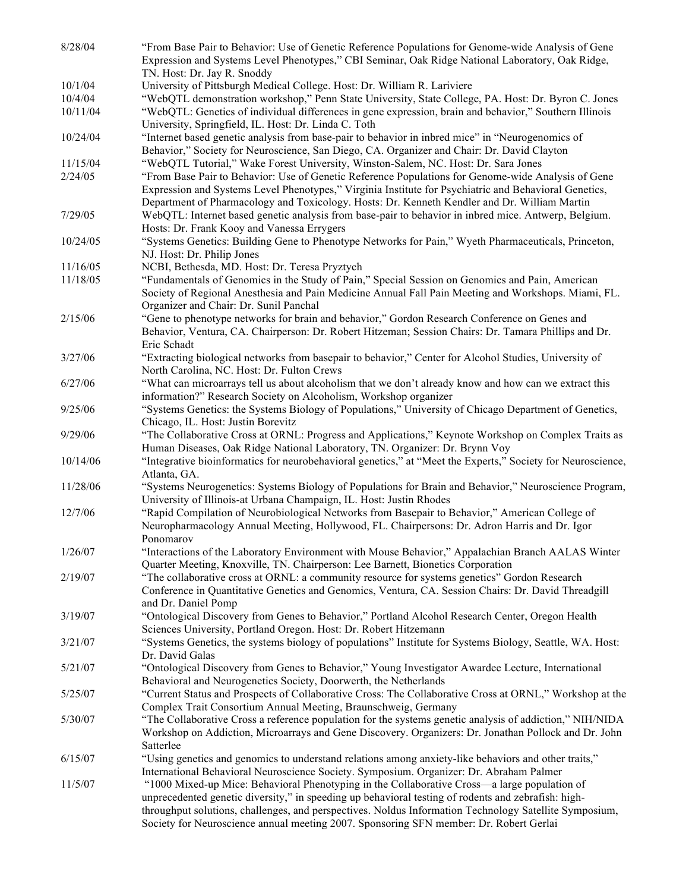| 8/28/04  | "From Base Pair to Behavior: Use of Genetic Reference Populations for Genome-wide Analysis of Gene<br>Expression and Systems Level Phenotypes," CBI Seminar, Oak Ridge National Laboratory, Oak Ridge,                        |
|----------|-------------------------------------------------------------------------------------------------------------------------------------------------------------------------------------------------------------------------------|
|          | TN. Host: Dr. Jay R. Snoddy                                                                                                                                                                                                   |
| 10/1/04  | University of Pittsburgh Medical College. Host: Dr. William R. Lariviere                                                                                                                                                      |
| 10/4/04  | "WebQTL demonstration workshop," Penn State University, State College, PA. Host: Dr. Byron C. Jones                                                                                                                           |
| 10/11/04 | "WebQTL: Genetics of individual differences in gene expression, brain and behavior," Southern Illinois<br>University, Springfield, IL. Host: Dr. Linda C. Toth                                                                |
| 10/24/04 | "Internet based genetic analysis from base-pair to behavior in inbred mice" in "Neurogenomics of                                                                                                                              |
|          | Behavior," Society for Neuroscience, San Diego, CA. Organizer and Chair: Dr. David Clayton                                                                                                                                    |
| 11/15/04 | "WebQTL Tutorial," Wake Forest University, Winston-Salem, NC. Host: Dr. Sara Jones                                                                                                                                            |
| 2/24/05  | "From Base Pair to Behavior: Use of Genetic Reference Populations for Genome-wide Analysis of Gene                                                                                                                            |
|          | Expression and Systems Level Phenotypes," Virginia Institute for Psychiatric and Behavioral Genetics,<br>Department of Pharmacology and Toxicology. Hosts: Dr. Kenneth Kendler and Dr. William Martin                         |
| 7/29/05  | WebQTL: Internet based genetic analysis from base-pair to behavior in inbred mice. Antwerp, Belgium.<br>Hosts: Dr. Frank Kooy and Vanessa Errygers                                                                            |
| 10/24/05 | "Systems Genetics: Building Gene to Phenotype Networks for Pain," Wyeth Pharmaceuticals, Princeton,<br>NJ. Host: Dr. Philip Jones                                                                                             |
| 11/16/05 | NCBI, Bethesda, MD. Host: Dr. Teresa Pryztych                                                                                                                                                                                 |
| 11/18/05 | "Fundamentals of Genomics in the Study of Pain," Special Session on Genomics and Pain, American                                                                                                                               |
|          | Society of Regional Anesthesia and Pain Medicine Annual Fall Pain Meeting and Workshops. Miami, FL.<br>Organizer and Chair: Dr. Sunil Panchal                                                                                 |
| 2/15/06  | "Gene to phenotype networks for brain and behavior," Gordon Research Conference on Genes and                                                                                                                                  |
|          | Behavior, Ventura, CA. Chairperson: Dr. Robert Hitzeman; Session Chairs: Dr. Tamara Phillips and Dr.<br>Eric Schadt                                                                                                           |
| 3/27/06  | "Extracting biological networks from basepair to behavior," Center for Alcohol Studies, University of<br>North Carolina, NC. Host: Dr. Fulton Crews                                                                           |
| 6/27/06  | "What can microarrays tell us about alcoholism that we don't already know and how can we extract this<br>information?" Research Society on Alcoholism, Workshop organizer                                                     |
| 9/25/06  | "Systems Genetics: the Systems Biology of Populations," University of Chicago Department of Genetics,                                                                                                                         |
|          | Chicago, IL. Host: Justin Borevitz                                                                                                                                                                                            |
| 9/29/06  | "The Collaborative Cross at ORNL: Progress and Applications," Keynote Workshop on Complex Traits as                                                                                                                           |
|          | Human Diseases, Oak Ridge National Laboratory, TN. Organizer: Dr. Brynn Voy                                                                                                                                                   |
| 10/14/06 | "Integrative bioinformatics for neurobehavioral genetics," at "Meet the Experts," Society for Neuroscience,<br>Atlanta, GA.                                                                                                   |
| 11/28/06 | "Systems Neurogenetics: Systems Biology of Populations for Brain and Behavior," Neuroscience Program,<br>University of Illinois-at Urbana Champaign, IL. Host: Justin Rhodes                                                  |
| 12/7/06  | "Rapid Compilation of Neurobiological Networks from Basepair to Behavior," American College of                                                                                                                                |
|          | Neuropharmacology Annual Meeting, Hollywood, FL. Chairpersons: Dr. Adron Harris and Dr. Igor<br>Ponomarov                                                                                                                     |
| 1/26/07  | "Interactions of the Laboratory Environment with Mouse Behavior," Appalachian Branch AALAS Winter                                                                                                                             |
|          | Quarter Meeting, Knoxville, TN. Chairperson: Lee Barnett, Bionetics Corporation                                                                                                                                               |
| 2/19/07  | "The collaborative cross at ORNL: a community resource for systems genetics" Gordon Research                                                                                                                                  |
|          | Conference in Quantitative Genetics and Genomics, Ventura, CA. Session Chairs: Dr. David Threadgill<br>and Dr. Daniel Pomp                                                                                                    |
| 3/19/07  | "Ontological Discovery from Genes to Behavior," Portland Alcohol Research Center, Oregon Health                                                                                                                               |
|          | Sciences University, Portland Oregon. Host: Dr. Robert Hitzemann                                                                                                                                                              |
| 3/21/07  | "Systems Genetics, the systems biology of populations" Institute for Systems Biology, Seattle, WA. Host:<br>Dr. David Galas                                                                                                   |
| 5/21/07  | "Ontological Discovery from Genes to Behavior," Young Investigator Awardee Lecture, International                                                                                                                             |
|          | Behavioral and Neurogenetics Society, Doorwerth, the Netherlands                                                                                                                                                              |
| 5/25/07  | "Current Status and Prospects of Collaborative Cross: The Collaborative Cross at ORNL," Workshop at the                                                                                                                       |
|          | Complex Trait Consortium Annual Meeting, Braunschweig, Germany                                                                                                                                                                |
| 5/30/07  | "The Collaborative Cross a reference population for the systems genetic analysis of addiction," NIH/NIDA<br>Workshop on Addiction, Microarrays and Gene Discovery. Organizers: Dr. Jonathan Pollock and Dr. John<br>Satterlee |
| 6/15/07  | "Using genetics and genomics to understand relations among anxiety-like behaviors and other traits,"                                                                                                                          |
|          | International Behavioral Neuroscience Society. Symposium. Organizer: Dr. Abraham Palmer                                                                                                                                       |
| 11/5/07  | "1000 Mixed-up Mice: Behavioral Phenotyping in the Collaborative Cross-a large population of                                                                                                                                  |
|          | unprecedented genetic diversity," in speeding up behavioral testing of rodents and zebrafish: high-                                                                                                                           |
|          | throughput solutions, challenges, and perspectives. Noldus Information Technology Satellite Symposium,                                                                                                                        |
|          | Society for Neuroscience annual meeting 2007. Sponsoring SFN member: Dr. Robert Gerlai                                                                                                                                        |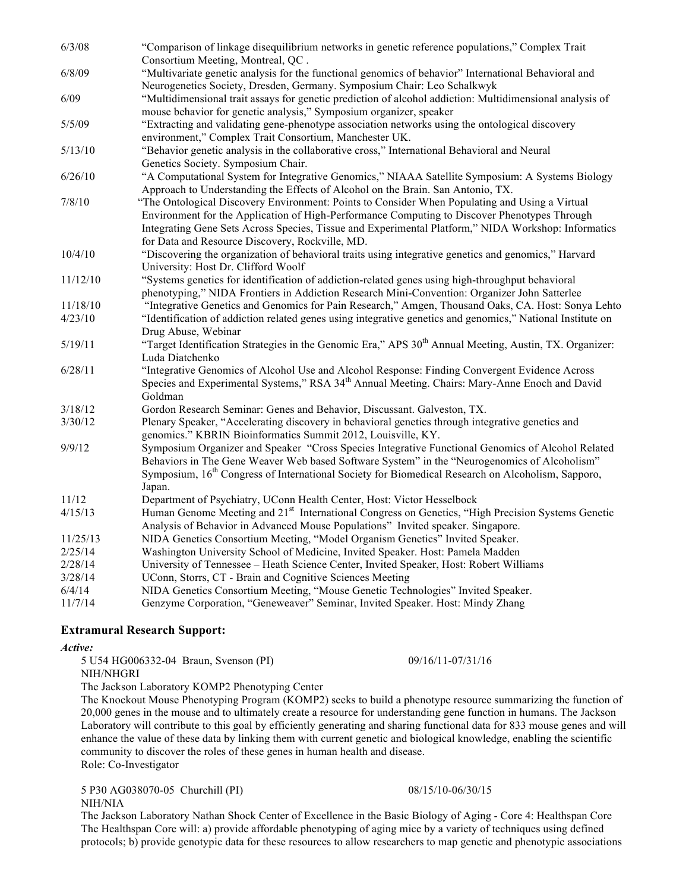| 6/3/08   | "Comparison of linkage disequilibrium networks in genetic reference populations," Complex Trait                                                                                 |
|----------|---------------------------------------------------------------------------------------------------------------------------------------------------------------------------------|
|          | Consortium Meeting, Montreal, QC.                                                                                                                                               |
| 6/8/09   | "Multivariate genetic analysis for the functional genomics of behavior" International Behavioral and<br>Neurogenetics Society, Dresden, Germany. Symposium Chair: Leo Schalkwyk |
| 6/09     | "Multidimensional trait assays for genetic prediction of alcohol addiction: Multidimensional analysis of                                                                        |
|          | mouse behavior for genetic analysis," Symposium organizer, speaker                                                                                                              |
| 5/5/09   | "Extracting and validating gene-phenotype association networks using the ontological discovery                                                                                  |
|          | environment," Complex Trait Consortium, Manchester UK.                                                                                                                          |
| 5/13/10  | "Behavior genetic analysis in the collaborative cross," International Behavioral and Neural                                                                                     |
|          | Genetics Society. Symposium Chair.                                                                                                                                              |
| 6/26/10  | "A Computational System for Integrative Genomics," NIAAA Satellite Symposium: A Systems Biology                                                                                 |
|          | Approach to Understanding the Effects of Alcohol on the Brain. San Antonio, TX.                                                                                                 |
| 7/8/10   | "The Ontological Discovery Environment: Points to Consider When Populating and Using a Virtual                                                                                  |
|          | Environment for the Application of High-Performance Computing to Discover Phenotypes Through                                                                                    |
|          | Integrating Gene Sets Across Species, Tissue and Experimental Platform," NIDA Workshop: Informatics                                                                             |
|          | for Data and Resource Discovery, Rockville, MD.                                                                                                                                 |
| 10/4/10  | "Discovering the organization of behavioral traits using integrative genetics and genomics," Harvard                                                                            |
|          | University: Host Dr. Clifford Woolf                                                                                                                                             |
| 11/12/10 | "Systems genetics for identification of addiction-related genes using high-throughput behavioral                                                                                |
|          | phenotyping," NIDA Frontiers in Addiction Research Mini-Convention: Organizer John Satterlee                                                                                    |
| 11/18/10 | "Integrative Genetics and Genomics for Pain Research," Amgen, Thousand Oaks, CA. Host: Sonya Lehto                                                                              |
| 4/23/10  | "Identification of addiction related genes using integrative genetics and genomics," National Institute on                                                                      |
|          | Drug Abuse, Webinar                                                                                                                                                             |
| 5/19/11  | "Target Identification Strategies in the Genomic Era," APS 30 <sup>th</sup> Annual Meeting, Austin, TX. Organizer:                                                              |
|          | Luda Diatchenko                                                                                                                                                                 |
| 6/28/11  | "Integrative Genomics of Alcohol Use and Alcohol Response: Finding Convergent Evidence Across                                                                                   |
|          | Species and Experimental Systems," RSA 34 <sup>th</sup> Annual Meeting, Chairs: Mary-Anne Enoch and David                                                                       |
|          | Goldman                                                                                                                                                                         |
| 3/18/12  | Gordon Research Seminar: Genes and Behavior, Discussant. Galveston, TX.                                                                                                         |
| 3/30/12  | Plenary Speaker, "Accelerating discovery in behavioral genetics through integrative genetics and                                                                                |
|          | genomics." KBRIN Bioinformatics Summit 2012, Louisville, KY.                                                                                                                    |
| 9/9/12   | Symposium Organizer and Speaker "Cross Species Integrative Functional Genomics of Alcohol Related                                                                               |
|          | Behaviors in The Gene Weaver Web based Software System" in the "Neurogenomics of Alcoholism"                                                                                    |
|          | Symposium, 16 <sup>th</sup> Congress of International Society for Biomedical Research on Alcoholism, Sapporo,                                                                   |
|          | Japan.                                                                                                                                                                          |
| 11/12    | Department of Psychiatry, UConn Health Center, Host: Victor Hesselbock                                                                                                          |
| 4/15/13  | Human Genome Meeting and 21 <sup>st</sup> International Congress on Genetics, "High Precision Systems Genetic                                                                   |
|          | Analysis of Behavior in Advanced Mouse Populations" Invited speaker. Singapore.                                                                                                 |
| 11/25/13 | NIDA Genetics Consortium Meeting, "Model Organism Genetics" Invited Speaker.                                                                                                    |
| 2/25/14  | Washington University School of Medicine, Invited Speaker. Host: Pamela Madden                                                                                                  |
| 2/28/14  | University of Tennessee - Heath Science Center, Invited Speaker, Host: Robert Williams                                                                                          |
| 3/28/14  | UConn, Storrs, CT - Brain and Cognitive Sciences Meeting                                                                                                                        |
| 6/4/14   | NIDA Genetics Consortium Meeting, "Mouse Genetic Technologies" Invited Speaker.                                                                                                 |
| 11/7/14  | Genzyme Corporation, "Geneweaver" Seminar, Invited Speaker. Host: Mindy Zhang                                                                                                   |

## **Extramural Research Support:**

#### *Active:*

5 U54 HG006332-04 Braun, Svenson (PI) 09/16/11-07/31/16 NIH/NHGRI

The Jackson Laboratory KOMP2 Phenotyping Center The Knockout Mouse Phenotyping Program (KOMP2) seeks to build a phenotype resource summarizing the function of 20,000 genes in the mouse and to ultimately create a resource for understanding gene function in humans. The Jackson Laboratory will contribute to this goal by efficiently generating and sharing functional data for 833 mouse genes and will enhance the value of these data by linking them with current genetic and biological knowledge, enabling the scientific community to discover the roles of these genes in human health and disease.

Role: Co-Investigator

5 P30 AG038070-05 Churchill (PI) 08/15/10-06/30/15 NIH/NIA

The Jackson Laboratory Nathan Shock Center of Excellence in the Basic Biology of Aging - Core 4: Healthspan Core The Healthspan Core will: a) provide affordable phenotyping of aging mice by a variety of techniques using defined protocols; b) provide genotypic data for these resources to allow researchers to map genetic and phenotypic associations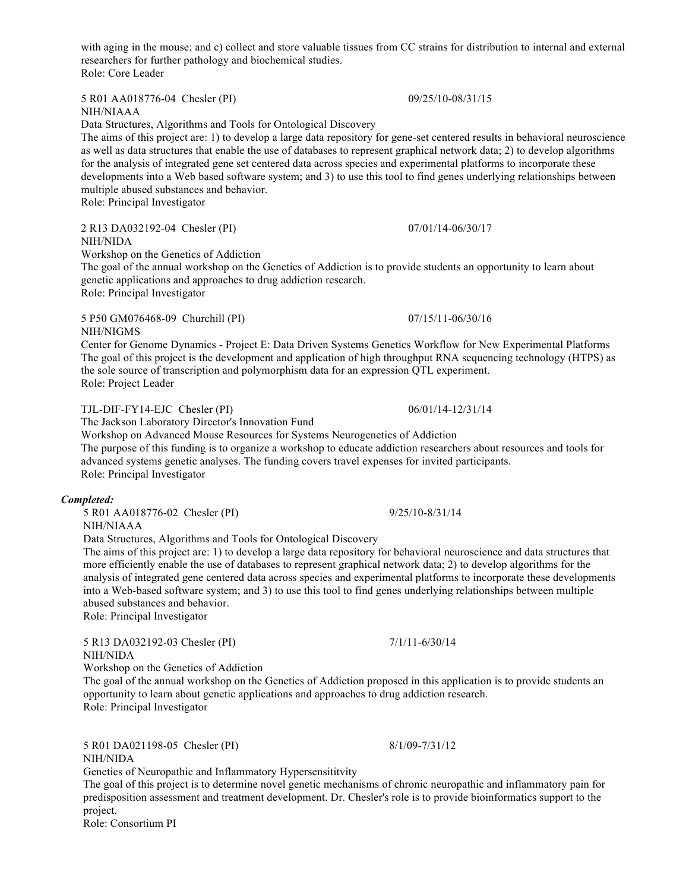with aging in the mouse; and c) collect and store valuable tissues from CC strains for distribution to internal and external researchers for further pathology and biochemical studies. Role: Core Leader

## 5 R01 AA018776-04 Chesler (PI) 09/25/10-08/31/15

NIH/NIAAA

Data Structures, Algorithms and Tools for Ontological Discovery

The aims of this project are: 1) to develop a large data repository for gene-set centered results in behavioral neuroscience as well as data structures that enable the use of databases to represent graphical network data; 2) to develop algorithms for the analysis of integrated gene set centered data across species and experimental platforms to incorporate these developments into a Web based software system; and 3) to use this tool to find genes underlying relationships between multiple abused substances and behavior.

Role: Principal Investigator

#### 2 R13 DA032192-04 Chesler (PI) 07/01/14-06/30/17 NIH/NIDA

Workshop on the Genetics of Addiction

The goal of the annual workshop on the Genetics of Addiction is to provide students an opportunity to learn about genetic applications and approaches to drug addiction research. Role: Principal Investigator

### 5 P50 GM076468-09 Churchill (PI) 07/15/11-06/30/16 NIH/NIGMS

Center for Genome Dynamics - Project E: Data Driven Systems Genetics Workflow for New Experimental Platforms The goal of this project is the development and application of high throughput RNA sequencing technology (HTPS) as the sole source of transcription and polymorphism data for an expression QTL experiment. Role: Project Leader

### TJL-DIF-FY14-EJC Chesler (PI) 06/01/14-12/31/14

The Jackson Laboratory Director's Innovation Fund

Workshop on Advanced Mouse Resources for Systems Neurogenetics of Addiction The purpose of this funding is to organize a workshop to educate addiction researchers about resources and tools for advanced systems genetic analyses. The funding covers travel expenses for invited participants. Role: Principal Investigator

### *Completed:*

5 R01 AA018776-02 Chesler (PI) 9/25/10-8/31/14

NIH/NIAAA

Data Structures, Algorithms and Tools for Ontological Discovery

The aims of this project are: 1) to develop a large data repository for behavioral neuroscience and data structures that more efficiently enable the use of databases to represent graphical network data; 2) to develop algorithms for the analysis of integrated gene centered data across species and experimental platforms to incorporate these developments into a Web-based software system; and 3) to use this tool to find genes underlying relationships between multiple abused substances and behavior.

Role: Principal Investigator

5 R13 DA032192-03 Chesler (PI) 7/1/11-6/30/14 NIH/NIDA

Workshop on the Genetics of Addiction

The goal of the annual workshop on the Genetics of Addiction proposed in this application is to provide students an opportunity to learn about genetic applications and approaches to drug addiction research. Role: Principal Investigator

5 R01 DA021198-05 Chesler (PI) 8/1/09-7/31/12 NIH/NIDA

Genetics of Neuropathic and Inflammatory Hypersensititvity

The goal of this project is to determine novel genetic mechanisms of chronic neuropathic and inflammatory pain for predisposition assessment and treatment development. Dr. Chesler's role is to provide bioinformatics support to the project.

Role: Consortium PI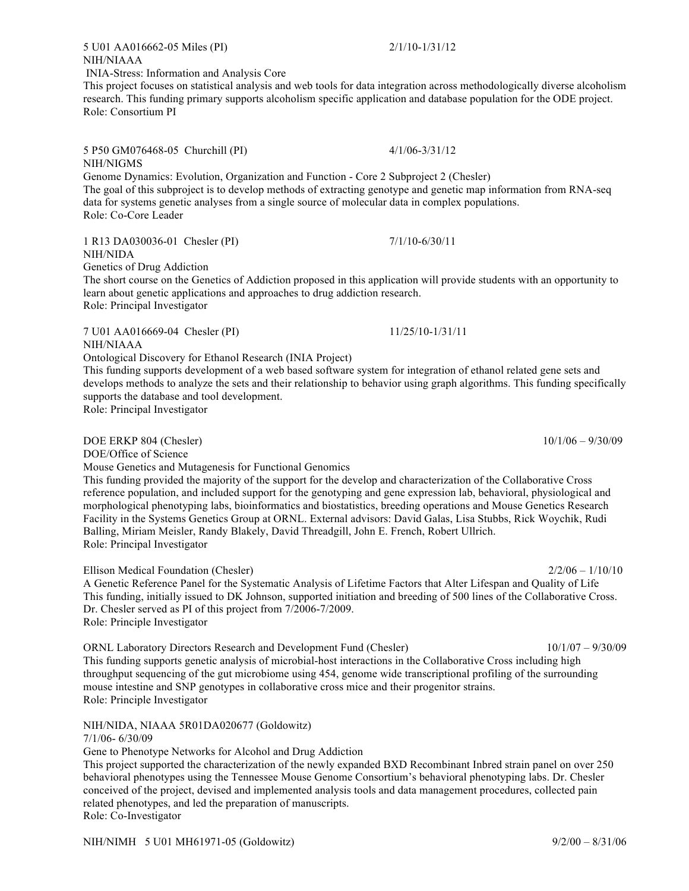5 U01 AA016662-05 Miles (PI) 2/1/10-1/31/12 NIH/NIAAA INIA-Stress: Information and Analysis Core

This project focuses on statistical analysis and web tools for data integration across methodologically diverse alcoholism research. This funding primary supports alcoholism specific application and database population for the ODE project. Role: Consortium PI

5 P50 GM076468-05 Churchill (PI) 4/1/06-3/31/12 NIH/NIGMS

Genome Dynamics: Evolution, Organization and Function - Core 2 Subproject 2 (Chesler) The goal of this subproject is to develop methods of extracting genotype and genetic map information from RNA-seq data for systems genetic analyses from a single source of molecular data in complex populations. Role: Co-Core Leader

1 R13 DA030036-01 Chesler (PI) 7/1/10-6/30/11 NIH/NIDA

Genetics of Drug Addiction The short course on the Genetics of Addiction proposed in this application will provide students with an opportunity to learn about genetic applications and approaches to drug addiction research.

Role: Principal Investigator

7 U01 AA016669-04 Chesler (PI) 11/25/10-1/31/11 NIH/NIAAA

Ontological Discovery for Ethanol Research (INIA Project) This funding supports development of a web based software system for integration of ethanol related gene sets and develops methods to analyze the sets and their relationship to behavior using graph algorithms. This funding specifically supports the database and tool development.

Role: Principal Investigator

DOE ERKP 804 (Chesler) 10/1/06 – 9/30/09

DOE/Office of Science

Mouse Genetics and Mutagenesis for Functional Genomics

This funding provided the majority of the support for the develop and characterization of the Collaborative Cross reference population, and included support for the genotyping and gene expression lab, behavioral, physiological and morphological phenotyping labs, bioinformatics and biostatistics, breeding operations and Mouse Genetics Research Facility in the Systems Genetics Group at ORNL. External advisors: David Galas, Lisa Stubbs, Rick Woychik, Rudi Balling, Miriam Meisler, Randy Blakely, David Threadgill, John E. French, Robert Ullrich. Role: Principal Investigator

Ellison Medical Foundation (Chesler) 2/2/06 – 1/10/10

A Genetic Reference Panel for the Systematic Analysis of Lifetime Factors that Alter Lifespan and Quality of Life This funding, initially issued to DK Johnson, supported initiation and breeding of 500 lines of the Collaborative Cross. Dr. Chesler served as PI of this project from 7/2006-7/2009. Role: Principle Investigator

ORNL Laboratory Directors Research and Development Fund (Chesler) 10/1/07 – 9/30/09 This funding supports genetic analysis of microbial-host interactions in the Collaborative Cross including high throughput sequencing of the gut microbiome using 454, genome wide transcriptional profiling of the surrounding mouse intestine and SNP genotypes in collaborative cross mice and their progenitor strains. Role: Principle Investigator

NIH/NIDA, NIAAA 5R01DA020677 (Goldowitz)

7/1/06- 6/30/09

Gene to Phenotype Networks for Alcohol and Drug Addiction

This project supported the characterization of the newly expanded BXD Recombinant Inbred strain panel on over 250 behavioral phenotypes using the Tennessee Mouse Genome Consortium's behavioral phenotyping labs. Dr. Chesler conceived of the project, devised and implemented analysis tools and data management procedures, collected pain related phenotypes, and led the preparation of manuscripts. Role: Co-Investigator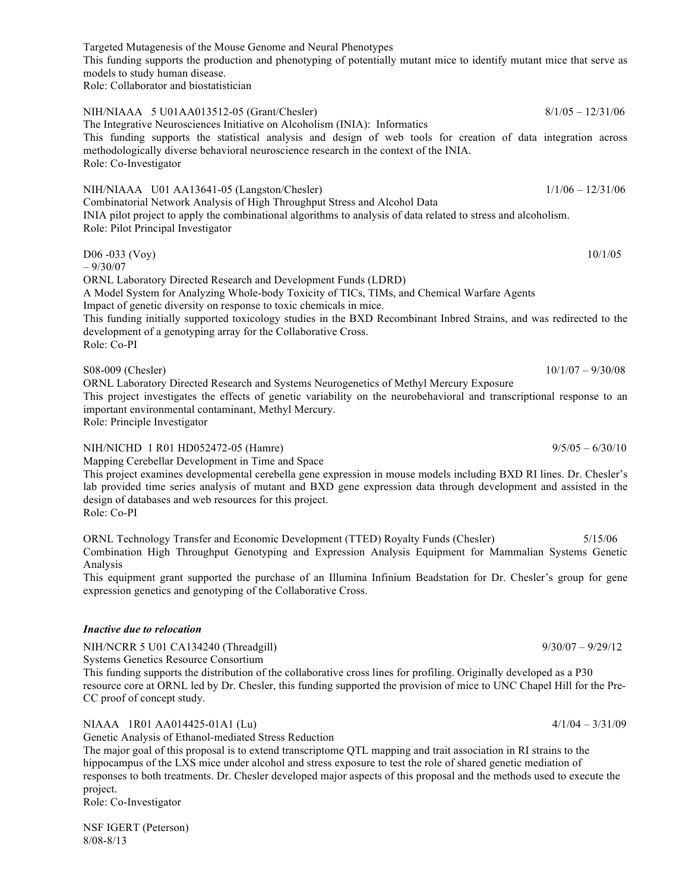| Targeted Mutagenesis of the Mouse Genome and Neural Phenotypes                                                        |
|-----------------------------------------------------------------------------------------------------------------------|
| This funding supports the production and phenotyping of potentially mutant mice to identify mutant mice that serve as |
| models to study human disease.                                                                                        |
|                                                                                                                       |

Role: Collaborator and biostatistician

NIH/NIAAA 5 U01AA013512-05 (Grant/Chesler) 8/1/05 – 12/31/06 The Integrative Neurosciences Initiative on Alcoholism (INIA): Informatics This funding supports the statistical analysis and design of web tools for creation of data integration across methodologically diverse behavioral neuroscience research in the context of the INIA.

Role: Co-Investigator

## NIH/NIAAA U01 AA13641-05 (Langston/Chesler) 1/1/06 – 12/31/06

Combinatorial Network Analysis of High Throughput Stress and Alcohol Data INIA pilot project to apply the combinational algorithms to analysis of data related to stress and alcoholism. Role: Pilot Principal Investigator

# D06 -033 (Voy) 10/1/05

– 9/30/07

ORNL Laboratory Directed Research and Development Funds (LDRD) A Model System for Analyzing Whole-body Toxicity of TICs, TIMs, and Chemical Warfare Agents Impact of genetic diversity on response to toxic chemicals in mice. This funding initially supported toxicology studies in the BXD Recombinant Inbred Strains, and was redirected to the development of a genotyping array for the Collaborative Cross.

Role: Co-PI

S08-009 (Chesler) 10/1/07 – 9/30/08

ORNL Laboratory Directed Research and Systems Neurogenetics of Methyl Mercury Exposure This project investigates the effects of genetic variability on the neurobehavioral and transcriptional response to an important environmental contaminant, Methyl Mercury.

Role: Principle Investigator

## NIH/NICHD 1 R01 HD052472-05 (Hamre) 9/5/05 – 6/30/10

Mapping Cerebellar Development in Time and Space This project examines developmental cerebella gene expression in mouse models including BXD RI lines. Dr. Chesler's lab provided time series analysis of mutant and BXD gene expression data through development and assisted in the design of databases and web resources for this project. Role: Co-PI

ORNL Technology Transfer and Economic Development (TTED) Royalty Funds (Chesler) 5/15/06 Combination High Throughput Genotyping and Expression Analysis Equipment for Mammalian Systems Genetic Analysis

This equipment grant supported the purchase of an Illumina Infinium Beadstation for Dr. Chesler's group for gene expression genetics and genotyping of the Collaborative Cross.

## *Inactive due to relocation*

NIH/NCRR 5 U01 CA134240 (Threadgill) 9/30/07 – 9/29/12

Systems Genetics Resource Consortium

This funding supports the distribution of the collaborative cross lines for profiling. Originally developed as a P30 resource core at ORNL led by Dr. Chesler, this funding supported the provision of mice to UNC Chapel Hill for the Pre-CC proof of concept study.

## NIAAA 1R01 AA014425-01A1 (Lu) 4/1/04 – 3/31/09

Genetic Analysis of Ethanol-mediated Stress Reduction

The major goal of this proposal is to extend transcriptome QTL mapping and trait association in RI strains to the hippocampus of the LXS mice under alcohol and stress exposure to test the role of shared genetic mediation of responses to both treatments. Dr. Chesler developed major aspects of this proposal and the methods used to execute the project.

Role: Co-Investigator

NSF IGERT (Peterson) 8/08-8/13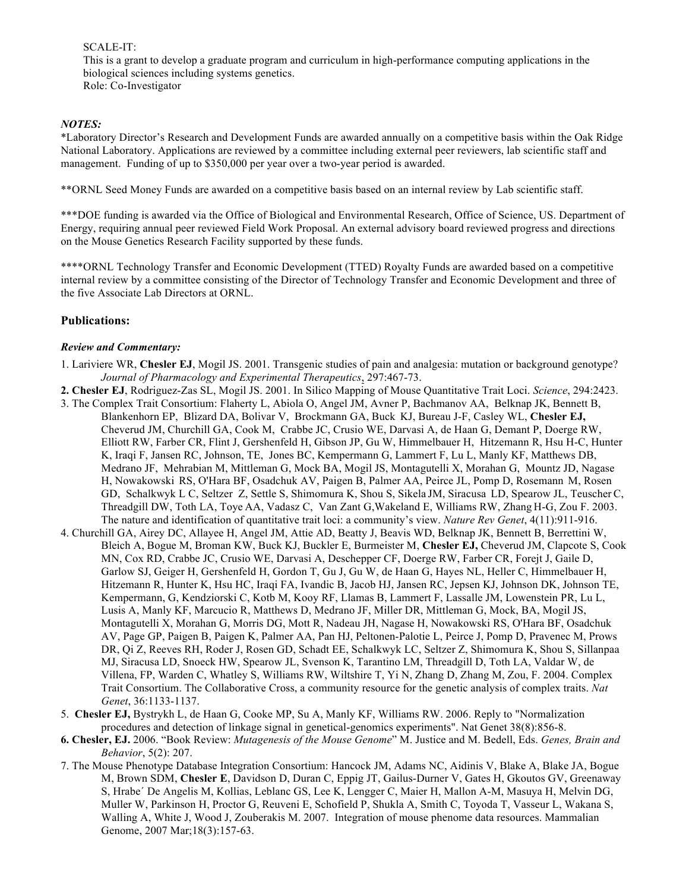#### SCALE-IT:

This is a grant to develop a graduate program and curriculum in high-performance computing applications in the biological sciences including systems genetics. Role: Co-Investigator

#### *NOTES:*

\*Laboratory Director's Research and Development Funds are awarded annually on a competitive basis within the Oak Ridge National Laboratory. Applications are reviewed by a committee including external peer reviewers, lab scientific staff and management. Funding of up to \$350,000 per year over a two-year period is awarded.

\*\*ORNL Seed Money Funds are awarded on a competitive basis based on an internal review by Lab scientific staff.

\*\*\*DOE funding is awarded via the Office of Biological and Environmental Research, Office of Science, US. Department of Energy, requiring annual peer reviewed Field Work Proposal. An external advisory board reviewed progress and directions on the Mouse Genetics Research Facility supported by these funds.

\*\*\*\*ORNL Technology Transfer and Economic Development (TTED) Royalty Funds are awarded based on a competitive internal review by a committee consisting of the Director of Technology Transfer and Economic Development and three of the five Associate Lab Directors at ORNL.

## **Publications:**

#### *Review and Commentary:*

- 1. Lariviere WR, **Chesler EJ**, Mogil JS. 2001. Transgenic studies of pain and analgesia: mutation or background genotype? *Journal of Pharmacology and Experimental Therapeutics*, 297:467-73.
- **2. Chesler EJ**, Rodriguez-Zas SL, Mogil JS. 2001. In Silico Mapping of Mouse Quantitative Trait Loci. *Science*, 294:2423.
- 3. The Complex Trait Consortium: Flaherty L, Abiola O, Angel JM, Avner P, Bachmanov AA, Belknap JK, Bennett B, Blankenhorn EP, Blizard DA, Bolivar V, Brockmann GA, Buck KJ, Bureau J-F, Casley WL, **Chesler EJ,** Cheverud JM, Churchill GA, Cook M, Crabbe JC, Crusio WE, Darvasi A, de Haan G, Demant P, Doerge RW, Elliott RW, Farber CR, Flint J, Gershenfeld H, Gibson JP, Gu W, Himmelbauer H, Hitzemann R, Hsu H-C, Hunter K, Iraqi F, Jansen RC, Johnson, TE, Jones BC, Kempermann G, Lammert F, Lu L, Manly KF, Matthews DB, Medrano JF, Mehrabian M, Mittleman G, Mock BA, Mogil JS, Montagutelli X, Morahan G, Mountz JD, Nagase H, Nowakowski RS, O'Hara BF, Osadchuk AV, Paigen B, Palmer AA, Peirce JL, Pomp D, Rosemann M, Rosen GD, Schalkwyk L C, Seltzer Z, Settle S, Shimomura K, Shou S, Sikela JM, Siracusa LD, Spearow JL, Teuscher C, Threadgill DW, Toth LA, Toye AA, Vadasz C, Van Zant G,Wakeland E, Williams RW, Zhang H-G, Zou F. 2003. The nature and identification of quantitative trait loci: a community's view. *Nature Rev Genet*, 4(11):911-916.
- 4. Churchill GA, Airey DC, Allayee H, Angel JM, Attie AD, Beatty J, Beavis WD, Belknap JK, Bennett B, Berrettini W, Bleich A, Bogue M, Broman KW, Buck KJ, Buckler E, Burmeister M, **Chesler EJ,** Cheverud JM, Clapcote S, Cook MN, Cox RD, Crabbe JC, Crusio WE, Darvasi A, Deschepper CF, Doerge RW, Farber CR, Forejt J, Gaile D, Garlow SJ, Geiger H, Gershenfeld H, Gordon T, Gu J, Gu W, de Haan G, Hayes NL, Heller C, Himmelbauer H, Hitzemann R, Hunter K, Hsu HC, Iraqi FA, Ivandic B, Jacob HJ, Jansen RC, Jepsen KJ, Johnson DK, Johnson TE, Kempermann, G, Kendziorski C, Kotb M, Kooy RF, Llamas B, Lammert F, Lassalle JM, Lowenstein PR, Lu L, Lusis A, Manly KF, Marcucio R, Matthews D, Medrano JF, Miller DR, Mittleman G, Mock, BA, Mogil JS, Montagutelli X, Morahan G, Morris DG, Mott R, Nadeau JH, Nagase H, Nowakowski RS, O'Hara BF, Osadchuk AV, Page GP, Paigen B, Paigen K, Palmer AA, Pan HJ, Peltonen-Palotie L, Peirce J, Pomp D, Pravenec M, Prows DR, Qi Z, Reeves RH, Roder J, Rosen GD, Schadt EE, Schalkwyk LC, Seltzer Z, Shimomura K, Shou S, Sillanpaa MJ, Siracusa LD, Snoeck HW, Spearow JL, Svenson K, Tarantino LM, Threadgill D, Toth LA, Valdar W, de Villena, FP, Warden C, Whatley S, Williams RW, Wiltshire T, Yi N, Zhang D, Zhang M, Zou, F. 2004. Complex Trait Consortium. The Collaborative Cross, a community resource for the genetic analysis of complex traits. *Nat Genet*, 36:1133-1137.
- 5. **Chesler EJ,** Bystrykh L, de Haan G, Cooke MP, Su A, Manly KF, Williams RW. 2006. Reply to "Normalization procedures and detection of linkage signal in genetical-genomics experiments". Nat Genet 38(8):856-8.
- **6. Chesler, EJ.** 2006. "Book Review: *Mutagenesis of the Mouse Genome*" M. Justice and M. Bedell, Eds. *Genes, Brain and Behavior*, 5(2): 207.
- 7. The Mouse Phenotype Database Integration Consortium: Hancock JM, Adams NC, Aidinis V, Blake A, Blake JA, Bogue M, Brown SDM, **Chesler E**, Davidson D, Duran C, Eppig JT, Gailus-Durner V, Gates H, Gkoutos GV, Greenaway S, Hrabe´ De Angelis M, Kollias, Leblanc GS, Lee K, Lengger C, Maier H, Mallon A-M, Masuya H, Melvin DG, Muller W, Parkinson H, Proctor G, Reuveni E, Schofield P, Shukla A, Smith C, Toyoda T, Vasseur L, Wakana S, Walling A, White J, Wood J, Zouberakis M. 2007. Integration of mouse phenome data resources. Mammalian Genome, 2007 Mar;18(3):157-63.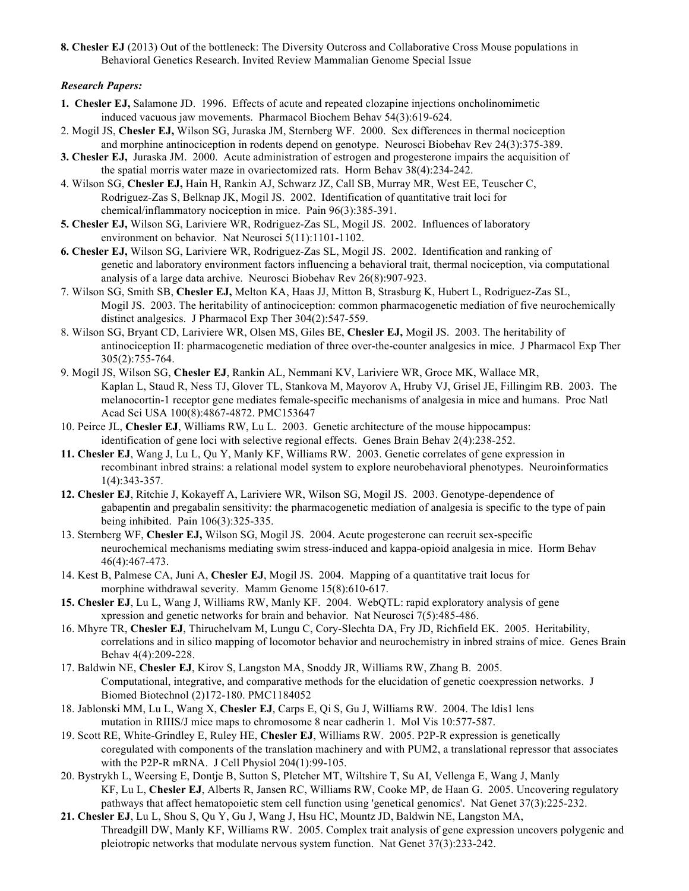**8. Chesler EJ** (2013) Out of the bottleneck: The Diversity Outcross and Collaborative Cross Mouse populations in Behavioral Genetics Research. Invited Review Mammalian Genome Special Issue

#### *Research Papers:*

- **1. Chesler EJ,** Salamone JD. 1996. Effects of acute and repeated clozapine injections oncholinomimetic induced vacuous jaw movements. Pharmacol Biochem Behav 54(3):619-624.
- 2. Mogil JS, **Chesler EJ,** Wilson SG, Juraska JM, Sternberg WF. 2000. Sex differences in thermal nociception and morphine antinociception in rodents depend on genotype. Neurosci Biobehav Rev 24(3):375-389.
- **3. Chesler EJ,** Juraska JM. 2000. Acute administration of estrogen and progesterone impairs the acquisition of the spatial morris water maze in ovariectomized rats. Horm Behav 38(4):234-242.
- 4. Wilson SG, **Chesler EJ,** Hain H, Rankin AJ, Schwarz JZ, Call SB, Murray MR, West EE, Teuscher C, Rodriguez-Zas S, Belknap JK, Mogil JS. 2002. Identification of quantitative trait loci for chemical/inflammatory nociception in mice. Pain 96(3):385-391.
- **5. Chesler EJ,** Wilson SG, Lariviere WR, Rodriguez-Zas SL, Mogil JS. 2002. Influences of laboratory environment on behavior. Nat Neurosci 5(11):1101-1102.
- **6. Chesler EJ,** Wilson SG, Lariviere WR, Rodriguez-Zas SL, Mogil JS. 2002. Identification and ranking of genetic and laboratory environment factors influencing a behavioral trait, thermal nociception, via computational analysis of a large data archive. Neurosci Biobehav Rev 26(8):907-923.
- 7. Wilson SG, Smith SB, **Chesler EJ,** Melton KA, Haas JJ, Mitton B, Strasburg K, Hubert L, Rodriguez-Zas SL, Mogil JS. 2003. The heritability of antinociception: common pharmacogenetic mediation of five neurochemically distinct analgesics. J Pharmacol Exp Ther 304(2):547-559.
- 8. Wilson SG, Bryant CD, Lariviere WR, Olsen MS, Giles BE, **Chesler EJ,** Mogil JS. 2003. The heritability of antinociception II: pharmacogenetic mediation of three over-the-counter analgesics in mice. J Pharmacol Exp Ther 305(2):755-764.
- 9. Mogil JS, Wilson SG, **Chesler EJ**, Rankin AL, Nemmani KV, Lariviere WR, Groce MK, Wallace MR, Kaplan L, Staud R, Ness TJ, Glover TL, Stankova M, Mayorov A, Hruby VJ, Grisel JE, Fillingim RB. 2003. The melanocortin-1 receptor gene mediates female-specific mechanisms of analgesia in mice and humans. Proc Natl Acad Sci USA 100(8):4867-4872. PMC153647
- 10. Peirce JL, **Chesler EJ**, Williams RW, Lu L. 2003. Genetic architecture of the mouse hippocampus: identification of gene loci with selective regional effects. Genes Brain Behav 2(4):238-252.
- **11. Chesler EJ**, Wang J, Lu L, Qu Y, Manly KF, Williams RW. 2003. Genetic correlates of gene expression in recombinant inbred strains: a relational model system to explore neurobehavioral phenotypes. Neuroinformatics 1(4):343-357.
- **12. Chesler EJ**, Ritchie J, Kokayeff A, Lariviere WR, Wilson SG, Mogil JS. 2003. Genotype-dependence of gabapentin and pregabalin sensitivity: the pharmacogenetic mediation of analgesia is specific to the type of pain being inhibited. Pain 106(3):325-335.
- 13. Sternberg WF, **Chesler EJ,** Wilson SG, Mogil JS. 2004. Acute progesterone can recruit sex-specific neurochemical mechanisms mediating swim stress-induced and kappa-opioid analgesia in mice. Horm Behav 46(4):467-473.
- 14. Kest B, Palmese CA, Juni A, **Chesler EJ**, Mogil JS. 2004. Mapping of a quantitative trait locus for morphine withdrawal severity. Mamm Genome 15(8):610-617.
- **15. Chesler EJ**, Lu L, Wang J, Williams RW, Manly KF. 2004. WebQTL: rapid exploratory analysis of gene xpression and genetic networks for brain and behavior. Nat Neurosci 7(5):485-486.
- 16. Mhyre TR, **Chesler EJ**, Thiruchelvam M, Lungu C, Cory-Slechta DA, Fry JD, Richfield EK. 2005. Heritability, correlations and in silico mapping of locomotor behavior and neurochemistry in inbred strains of mice. Genes Brain Behav 4(4):209-228.
- 17. Baldwin NE, **Chesler EJ**, Kirov S, Langston MA, Snoddy JR, Williams RW, Zhang B. 2005. Computational, integrative, and comparative methods for the elucidation of genetic coexpression networks. J Biomed Biotechnol (2)172-180. PMC1184052
- 18. Jablonski MM, Lu L, Wang X, **Chesler EJ**, Carps E, Qi S, Gu J, Williams RW. 2004. The ldis1 lens mutation in RIIIS/J mice maps to chromosome 8 near cadherin 1. Mol Vis 10:577-587.
- 19. Scott RE, White-Grindley E, Ruley HE, **Chesler EJ**, Williams RW. 2005. P2P-R expression is genetically coregulated with components of the translation machinery and with PUM2, a translational repressor that associates with the P2P-R mRNA. J Cell Physiol 204(1):99-105.
- 20. Bystrykh L, Weersing E, Dontje B, Sutton S, Pletcher MT, Wiltshire T, Su AI, Vellenga E, Wang J, Manly KF, Lu L, **Chesler EJ**, Alberts R, Jansen RC, Williams RW, Cooke MP, de Haan G. 2005. Uncovering regulatory pathways that affect hematopoietic stem cell function using 'genetical genomics'. Nat Genet 37(3):225-232.
- **21. Chesler EJ**, Lu L, Shou S, Qu Y, Gu J, Wang J, Hsu HC, Mountz JD, Baldwin NE, Langston MA, Threadgill DW, Manly KF, Williams RW. 2005. Complex trait analysis of gene expression uncovers polygenic and pleiotropic networks that modulate nervous system function. Nat Genet 37(3):233-242.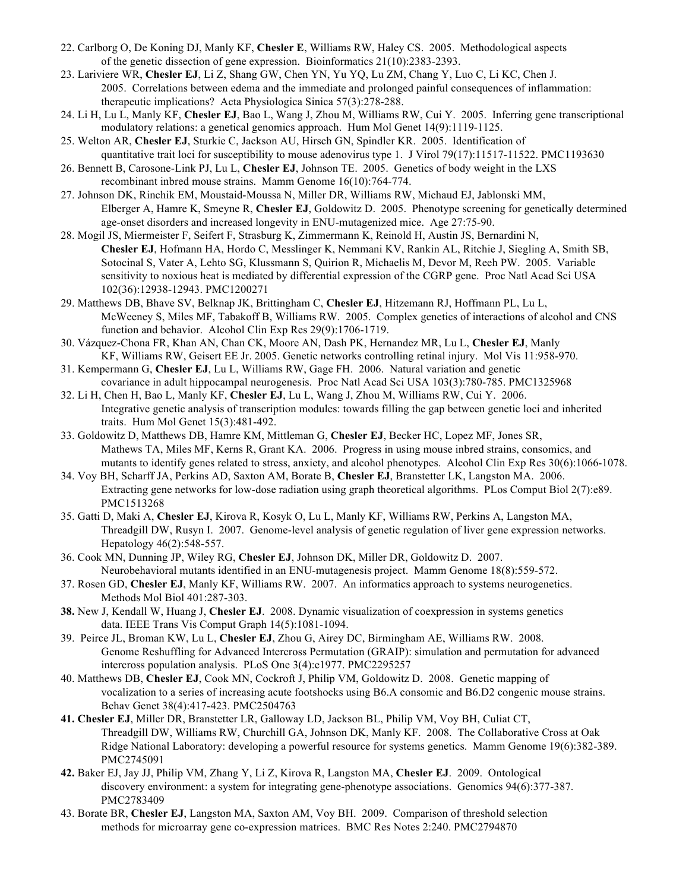- 22. Carlborg O, De Koning DJ, Manly KF, **Chesler E**, Williams RW, Haley CS. 2005. Methodological aspects of the genetic dissection of gene expression. Bioinformatics 21(10):2383-2393.
- 23. Lariviere WR, **Chesler EJ**, Li Z, Shang GW, Chen YN, Yu YQ, Lu ZM, Chang Y, Luo C, Li KC, Chen J. 2005. Correlations between edema and the immediate and prolonged painful consequences of inflammation: therapeutic implications? Acta Physiologica Sinica 57(3):278-288.
- 24. Li H, Lu L, Manly KF, **Chesler EJ**, Bao L, Wang J, Zhou M, Williams RW, Cui Y. 2005. Inferring gene transcriptional modulatory relations: a genetical genomics approach. Hum Mol Genet 14(9):1119-1125.
- 25. Welton AR, **Chesler EJ**, Sturkie C, Jackson AU, Hirsch GN, Spindler KR. 2005. Identification of quantitative trait loci for susceptibility to mouse adenovirus type 1. J Virol 79(17):11517-11522. PMC1193630
- 26. Bennett B, Carosone-Link PJ, Lu L, **Chesler EJ**, Johnson TE. 2005. Genetics of body weight in the LXS recombinant inbred mouse strains. Mamm Genome 16(10):764-774.
- 27. Johnson DK, Rinchik EM, Moustaid-Moussa N, Miller DR, Williams RW, Michaud EJ, Jablonski MM, Elberger A, Hamre K, Smeyne R, **Chesler EJ**, Goldowitz D. 2005. Phenotype screening for genetically determined age-onset disorders and increased longevity in ENU-mutagenized mice. Age 27:75-90.
- 28. Mogil JS, Miermeister F, Seifert F, Strasburg K, Zimmermann K, Reinold H, Austin JS, Bernardini N, **Chesler EJ**, Hofmann HA, Hordo C, Messlinger K, Nemmani KV, Rankin AL, Ritchie J, Siegling A, Smith SB, Sotocinal S, Vater A, Lehto SG, Klussmann S, Quirion R, Michaelis M, Devor M, Reeh PW. 2005. Variable sensitivity to noxious heat is mediated by differential expression of the CGRP gene. Proc Natl Acad Sci USA 102(36):12938-12943. PMC1200271
- 29. Matthews DB, Bhave SV, Belknap JK, Brittingham C, **Chesler EJ**, Hitzemann RJ, Hoffmann PL, Lu L, McWeeney S, Miles MF, Tabakoff B, Williams RW. 2005. Complex genetics of interactions of alcohol and CNS function and behavior. Alcohol Clin Exp Res 29(9):1706-1719.
- 30. Vázquez-Chona FR, Khan AN, Chan CK, Moore AN, Dash PK, Hernandez MR, Lu L, **Chesler EJ**, Manly KF, Williams RW, Geisert EE Jr. 2005. Genetic networks controlling retinal injury. Mol Vis 11:958-970.
- 31. Kempermann G, **Chesler EJ**, Lu L, Williams RW, Gage FH. 2006. Natural variation and genetic covariance in adult hippocampal neurogenesis. Proc Natl Acad Sci USA 103(3):780-785. PMC1325968
- 32. Li H, Chen H, Bao L, Manly KF, **Chesler EJ**, Lu L, Wang J, Zhou M, Williams RW, Cui Y. 2006. Integrative genetic analysis of transcription modules: towards filling the gap between genetic loci and inherited traits. Hum Mol Genet 15(3):481-492.
- 33. Goldowitz D, Matthews DB, Hamre KM, Mittleman G, **Chesler EJ**, Becker HC, Lopez MF, Jones SR, Mathews TA, Miles MF, Kerns R, Grant KA. 2006. Progress in using mouse inbred strains, consomics, and mutants to identify genes related to stress, anxiety, and alcohol phenotypes. Alcohol Clin Exp Res 30(6):1066-1078.
- 34. Voy BH, Scharff JA, Perkins AD, Saxton AM, Borate B, **Chesler EJ**, Branstetter LK, Langston MA. 2006. Extracting gene networks for low-dose radiation using graph theoretical algorithms. PLos Comput Biol 2(7):e89. PMC1513268
- 35. Gatti D, Maki A, **Chesler EJ**, Kirova R, Kosyk O, Lu L, Manly KF, Williams RW, Perkins A, Langston MA, Threadgill DW, Rusyn I. 2007. Genome-level analysis of genetic regulation of liver gene expression networks. Hepatology 46(2):548-557.
- 36. Cook MN, Dunning JP, Wiley RG, **Chesler EJ**, Johnson DK, Miller DR, Goldowitz D. 2007. Neurobehavioral mutants identified in an ENU-mutagenesis project. Mamm Genome 18(8):559-572.
- 37. Rosen GD, **Chesler EJ**, Manly KF, Williams RW. 2007. An informatics approach to systems neurogenetics. Methods Mol Biol 401:287-303.
- **38.** New J, Kendall W, Huang J, **Chesler EJ**. 2008. Dynamic visualization of coexpression in systems genetics data. IEEE Trans Vis Comput Graph 14(5):1081-1094.
- 39. Peirce JL, Broman KW, Lu L, **Chesler EJ**, Zhou G, Airey DC, Birmingham AE, Williams RW. 2008. Genome Reshuffling for Advanced Intercross Permutation (GRAIP): simulation and permutation for advanced intercross population analysis. PLoS One 3(4):e1977. PMC2295257
- 40. Matthews DB, **Chesler EJ**, Cook MN, Cockroft J, Philip VM, Goldowitz D. 2008. Genetic mapping of vocalization to a series of increasing acute footshocks using B6.A consomic and B6.D2 congenic mouse strains. Behav Genet 38(4):417-423. PMC2504763
- **41. Chesler EJ**, Miller DR, Branstetter LR, Galloway LD, Jackson BL, Philip VM, Voy BH, Culiat CT, Threadgill DW, Williams RW, Churchill GA, Johnson DK, Manly KF. 2008. The Collaborative Cross at Oak Ridge National Laboratory: developing a powerful resource for systems genetics. Mamm Genome 19(6):382-389. PMC2745091
- **42.** Baker EJ, Jay JJ, Philip VM, Zhang Y, Li Z, Kirova R, Langston MA, **Chesler EJ**. 2009. Ontological discovery environment: a system for integrating gene-phenotype associations. Genomics 94(6):377-387. PMC2783409
- 43. Borate BR, **Chesler EJ**, Langston MA, Saxton AM, Voy BH. 2009. Comparison of threshold selection methods for microarray gene co-expression matrices. BMC Res Notes 2:240. PMC2794870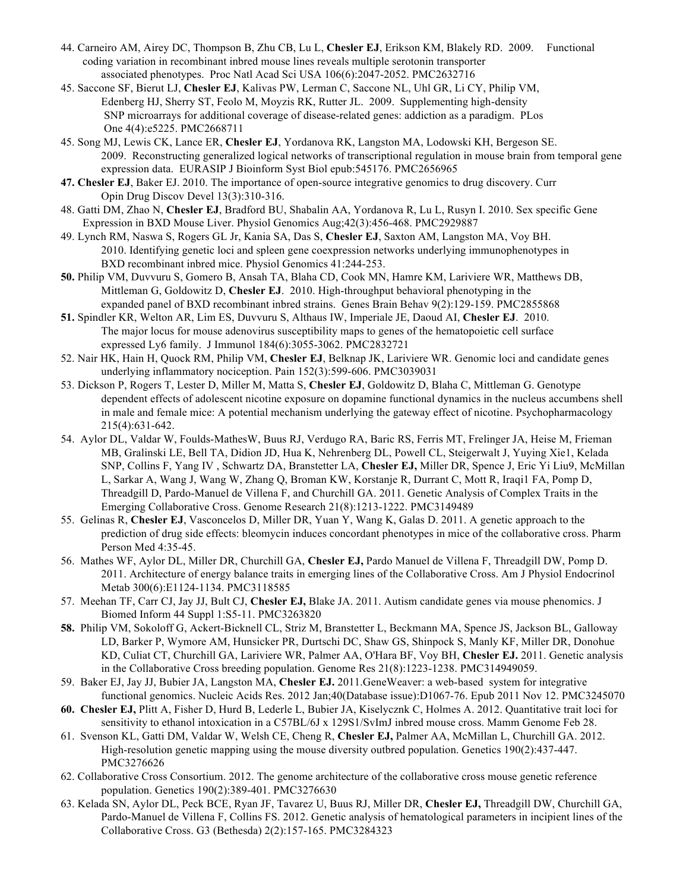- 44. Carneiro AM, Airey DC, Thompson B, Zhu CB, Lu L, **Chesler EJ**, Erikson KM, Blakely RD. 2009. Functional coding variation in recombinant inbred mouse lines reveals multiple serotonin transporter associated phenotypes. Proc Natl Acad Sci USA 106(6):2047-2052. PMC2632716
- 45. Saccone SF, Bierut LJ, **Chesler EJ**, Kalivas PW, Lerman C, Saccone NL, Uhl GR, Li CY, Philip VM, Edenberg HJ, Sherry ST, Feolo M, Moyzis RK, Rutter JL. 2009. Supplementing high-density SNP microarrays for additional coverage of disease-related genes: addiction as a paradigm. PLos One 4(4):e5225. PMC2668711
- 45. Song MJ, Lewis CK, Lance ER, **Chesler EJ**, Yordanova RK, Langston MA, Lodowski KH, Bergeson SE. 2009. Reconstructing generalized logical networks of transcriptional regulation in mouse brain from temporal gene expression data. EURASIP J Bioinform Syst Biol epub:545176. PMC2656965
- **47. Chesler EJ**, Baker EJ. 2010. The importance of open-source integrative genomics to drug discovery. Curr Opin Drug Discov Devel 13(3):310-316.
- 48. Gatti DM, Zhao N, **Chesler EJ**, Bradford BU, Shabalin AA, Yordanova R, Lu L, Rusyn I. 2010. Sex specific Gene Expression in BXD Mouse Liver. Physiol Genomics Aug;42(3):456-468. PMC2929887
- 49. Lynch RM, Naswa S, Rogers GL Jr, Kania SA, Das S, **Chesler EJ**, Saxton AM, Langston MA, Voy BH. 2010. Identifying genetic loci and spleen gene coexpression networks underlying immunophenotypes in BXD recombinant inbred mice. Physiol Genomics 41:244-253.
- **50.** Philip VM, Duvvuru S, Gomero B, Ansah TA, Blaha CD, Cook MN, Hamre KM, Lariviere WR, Matthews DB, Mittleman G, Goldowitz D, **Chesler EJ**. 2010. High-throughput behavioral phenotyping in the expanded panel of BXD recombinant inbred strains. Genes Brain Behav 9(2):129-159. PMC2855868
- **51.** Spindler KR, Welton AR, Lim ES, Duvvuru S, Althaus IW, Imperiale JE, Daoud AI, **Chesler EJ**. 2010. The major locus for mouse adenovirus susceptibility maps to genes of the hematopoietic cell surface expressed Ly6 family. J Immunol 184(6):3055-3062. PMC2832721
- 52. Nair HK, Hain H, Quock RM, Philip VM, **Chesler EJ**, Belknap JK, Lariviere WR. Genomic loci and candidate genes underlying inflammatory nociception. Pain 152(3):599-606. PMC3039031
- 53. Dickson P, Rogers T, Lester D, Miller M, Matta S, **Chesler EJ**, Goldowitz D, Blaha C, Mittleman G. Genotype dependent effects of adolescent nicotine exposure on dopamine functional dynamics in the nucleus accumbens shell in male and female mice: A potential mechanism underlying the gateway effect of nicotine. Psychopharmacology 215(4):631-642.
- 54. Aylor DL, Valdar W, Foulds-MathesW, Buus RJ, Verdugo RA, Baric RS, Ferris MT, Frelinger JA, Heise M, Frieman MB, Gralinski LE, Bell TA, Didion JD, Hua K, Nehrenberg DL, Powell CL, Steigerwalt J, Yuying Xie1, Kelada SNP, Collins F, Yang IV , Schwartz DA, Branstetter LA, **Chesler EJ,** Miller DR, Spence J, Eric Yi Liu9, McMillan L, Sarkar A, Wang J, Wang W, Zhang Q, Broman KW, Korstanje R, Durrant C, Mott R, Iraqi1 FA, Pomp D, Threadgill D, Pardo-Manuel de Villena F, and Churchill GA. 2011. Genetic Analysis of Complex Traits in the Emerging Collaborative Cross. Genome Research 21(8):1213-1222. PMC3149489
- 55. Gelinas R, **Chesler EJ**, Vasconcelos D, Miller DR, Yuan Y, Wang K, Galas D. 2011. A genetic approach to the prediction of drug side effects: bleomycin induces concordant phenotypes in mice of the collaborative cross. Pharm Person Med 4:35-45.
- 56. Mathes WF, Aylor DL, Miller DR, Churchill GA, **Chesler EJ,** Pardo Manuel de Villena F, Threadgill DW, Pomp D. 2011. Architecture of energy balance traits in emerging lines of the Collaborative Cross. Am J Physiol Endocrinol Metab 300(6):E1124-1134. PMC3118585
- 57. Meehan TF, Carr CJ, Jay JJ, Bult CJ, **Chesler EJ,** Blake JA. 2011. Autism candidate genes via mouse phenomics. J Biomed Inform 44 Suppl 1:S5-11. PMC3263820
- **58.** Philip VM, Sokoloff G, Ackert-Bicknell CL, Striz M, Branstetter L, Beckmann MA, Spence JS, Jackson BL, Galloway LD, Barker P, Wymore AM, Hunsicker PR, Durtschi DC, Shaw GS, Shinpock S, Manly KF, Miller DR, Donohue KD, Culiat CT, Churchill GA, Lariviere WR, Palmer AA, O'Hara BF, Voy BH, **Chesler EJ.** 2011. Genetic analysis in the Collaborative Cross breeding population. Genome Res 21(8):1223-1238. PMC314949059.
- 59. Baker EJ, Jay JJ, Bubier JA, Langston MA, **Chesler EJ.** 2011.GeneWeaver: a web-based system for integrative functional genomics. Nucleic Acids Res. 2012 Jan;40(Database issue):D1067-76. Epub 2011 Nov 12. PMC3245070
- **60. Chesler EJ,** Plitt A, Fisher D, Hurd B, Lederle L, Bubier JA, Kiselycznk C, Holmes A. 2012. Quantitative trait loci for sensitivity to ethanol intoxication in a C57BL/6J x 129S1/SvImJ inbred mouse cross. Mamm Genome Feb 28.
- 61. Svenson KL, Gatti DM, Valdar W, Welsh CE, Cheng R, **Chesler EJ,** Palmer AA, McMillan L, Churchill GA. 2012. High-resolution genetic mapping using the mouse diversity outbred population. Genetics 190(2):437-447. PMC3276626
- 62. Collaborative Cross Consortium. 2012. The genome architecture of the collaborative cross mouse genetic reference population. Genetics 190(2):389-401. PMC3276630
- 63. Kelada SN, Aylor DL, Peck BCE, Ryan JF, Tavarez U, Buus RJ, Miller DR, **Chesler EJ,** Threadgill DW, Churchill GA, Pardo-Manuel de Villena F, Collins FS. 2012. Genetic analysis of hematological parameters in incipient lines of the Collaborative Cross. G3 (Bethesda) 2(2):157-165. PMC3284323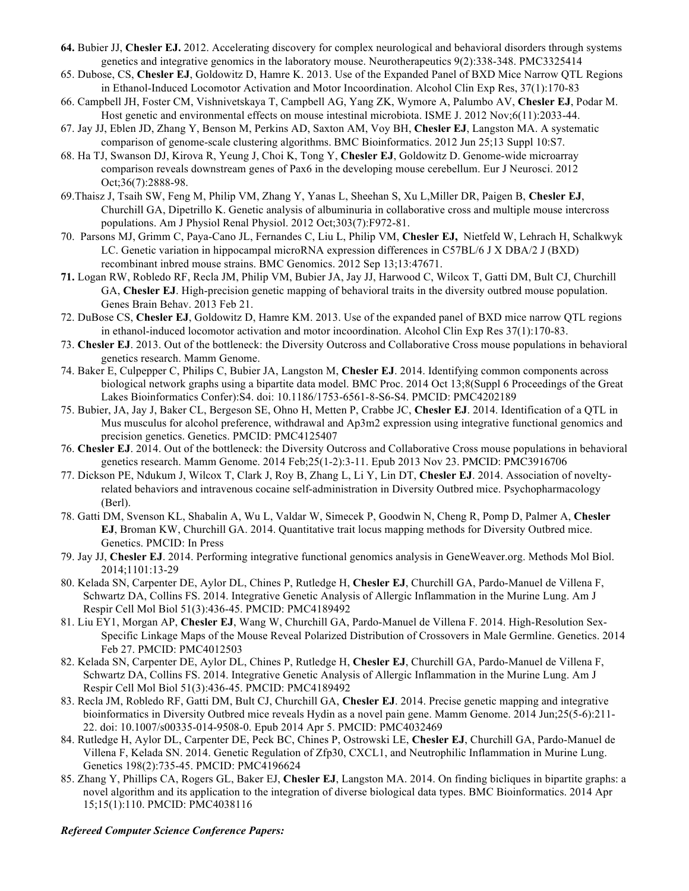- **64.** Bubier JJ, **Chesler EJ.** 2012. Accelerating discovery for complex neurological and behavioral disorders through systems genetics and integrative genomics in the laboratory mouse. Neurotherapeutics 9(2):338-348. PMC3325414
- 65. Dubose, CS, **Chesler EJ**, Goldowitz D, Hamre K. 2013. Use of the Expanded Panel of BXD Mice Narrow QTL Regions in Ethanol-Induced Locomotor Activation and Motor Incoordination. Alcohol Clin Exp Res, 37(1):170-83
- 66. Campbell JH, Foster CM, Vishnivetskaya T, Campbell AG, Yang ZK, Wymore A, Palumbo AV, **Chesler EJ**, Podar M. Host genetic and environmental effects on mouse intestinal microbiota. ISME J. 2012 Nov;6(11):2033-44.
- 67. Jay JJ, Eblen JD, Zhang Y, Benson M, Perkins AD, Saxton AM, Voy BH, **Chesler EJ**, Langston MA. A systematic comparison of genome-scale clustering algorithms. BMC Bioinformatics. 2012 Jun 25;13 Suppl 10:S7.
- 68. Ha TJ, Swanson DJ, Kirova R, Yeung J, Choi K, Tong Y, **Chesler EJ**, Goldowitz D. Genome-wide microarray comparison reveals downstream genes of Pax6 in the developing mouse cerebellum. Eur J Neurosci. 2012 Oct;36(7):2888-98.
- 69.Thaisz J, Tsaih SW, Feng M, Philip VM, Zhang Y, Yanas L, Sheehan S, Xu L,Miller DR, Paigen B, **Chesler EJ**, Churchill GA, Dipetrillo K. Genetic analysis of albuminuria in collaborative cross and multiple mouse intercross populations. Am J Physiol Renal Physiol. 2012 Oct;303(7):F972-81.
- 70. Parsons MJ, Grimm C, Paya-Cano JL, Fernandes C, Liu L, Philip VM, **Chesler EJ,** Nietfeld W, Lehrach H, Schalkwyk LC. Genetic variation in hippocampal microRNA expression differences in C57BL/6 J X DBA/2 J (BXD) recombinant inbred mouse strains. BMC Genomics. 2012 Sep 13;13:47671.
- **71.** Logan RW, Robledo RF, Recla JM, Philip VM, Bubier JA, Jay JJ, Harwood C, Wilcox T, Gatti DM, Bult CJ, Churchill GA, **Chesler EJ**. High-precision genetic mapping of behavioral traits in the diversity outbred mouse population. Genes Brain Behav. 2013 Feb 21.
- 72. DuBose CS, **Chesler EJ**, Goldowitz D, Hamre KM. 2013. Use of the expanded panel of BXD mice narrow QTL regions in ethanol-induced locomotor activation and motor incoordination. Alcohol Clin Exp Res 37(1):170-83.
- 73. **Chesler EJ**. 2013. Out of the bottleneck: the Diversity Outcross and Collaborative Cross mouse populations in behavioral genetics research. Mamm Genome.
- 74. Baker E, Culpepper C, Philips C, Bubier JA, Langston M, **Chesler EJ**. 2014. Identifying common components across biological network graphs using a bipartite data model. BMC Proc. 2014 Oct 13;8(Suppl 6 Proceedings of the Great Lakes Bioinformatics Confer):S4. doi: 10.1186/1753-6561-8-S6-S4. PMCID: PMC4202189
- 75. Bubier, JA, Jay J, Baker CL, Bergeson SE, Ohno H, Metten P, Crabbe JC, **Chesler EJ**. 2014. Identification of a QTL in Mus musculus for alcohol preference, withdrawal and Ap3m2 expression using integrative functional genomics and precision genetics. Genetics. PMCID: PMC4125407
- 76. **Chesler EJ**. 2014. Out of the bottleneck: the Diversity Outcross and Collaborative Cross mouse populations in behavioral genetics research. Mamm Genome. 2014 Feb;25(1-2):3-11. Epub 2013 Nov 23. PMCID: PMC3916706
- 77. Dickson PE, Ndukum J, Wilcox T, Clark J, Roy B, Zhang L, Li Y, Lin DT, **Chesler EJ**. 2014. Association of noveltyrelated behaviors and intravenous cocaine self-administration in Diversity Outbred mice. Psychopharmacology (Berl).
- 78. Gatti DM, Svenson KL, Shabalin A, Wu L, Valdar W, Simecek P, Goodwin N, Cheng R, Pomp D, Palmer A, **Chesler EJ**, Broman KW, Churchill GA. 2014. Quantitative trait locus mapping methods for Diversity Outbred mice. Genetics. PMCID: In Press
- 79. Jay JJ, **Chesler EJ**. 2014. Performing integrative functional genomics analysis in GeneWeaver.org. Methods Mol Biol. 2014;1101:13-29
- 80. Kelada SN, Carpenter DE, Aylor DL, Chines P, Rutledge H, **Chesler EJ**, Churchill GA, Pardo-Manuel de Villena F, Schwartz DA, Collins FS. 2014. Integrative Genetic Analysis of Allergic Inflammation in the Murine Lung. Am J Respir Cell Mol Biol 51(3):436-45. PMCID: PMC4189492
- 81. Liu EY1, Morgan AP, **Chesler EJ**, Wang W, Churchill GA, Pardo-Manuel de Villena F. 2014. High-Resolution Sex-Specific Linkage Maps of the Mouse Reveal Polarized Distribution of Crossovers in Male Germline. Genetics. 2014 Feb 27. PMCID: PMC4012503
- 82. Kelada SN, Carpenter DE, Aylor DL, Chines P, Rutledge H, **Chesler EJ**, Churchill GA, Pardo-Manuel de Villena F, Schwartz DA, Collins FS. 2014. Integrative Genetic Analysis of Allergic Inflammation in the Murine Lung. Am J Respir Cell Mol Biol 51(3):436-45. PMCID: PMC4189492
- 83. Recla JM, Robledo RF, Gatti DM, Bult CJ, Churchill GA, **Chesler EJ**. 2014. Precise genetic mapping and integrative bioinformatics in Diversity Outbred mice reveals Hydin as a novel pain gene. Mamm Genome. 2014 Jun;25(5-6):211- 22. doi: 10.1007/s00335-014-9508-0. Epub 2014 Apr 5. PMCID: PMC4032469
- 84. Rutledge H, Aylor DL, Carpenter DE, Peck BC, Chines P, Ostrowski LE, **Chesler EJ**, Churchill GA, Pardo-Manuel de Villena F, Kelada SN. 2014. Genetic Regulation of Zfp30, CXCL1, and Neutrophilic Inflammation in Murine Lung. Genetics 198(2):735-45. PMCID: PMC4196624
- 85. Zhang Y, Phillips CA, Rogers GL, Baker EJ, **Chesler EJ**, Langston MA. 2014. On finding bicliques in bipartite graphs: a novel algorithm and its application to the integration of diverse biological data types. BMC Bioinformatics. 2014 Apr 15;15(1):110. PMCID: PMC4038116

## *Refereed Computer Science Conference Papers:*